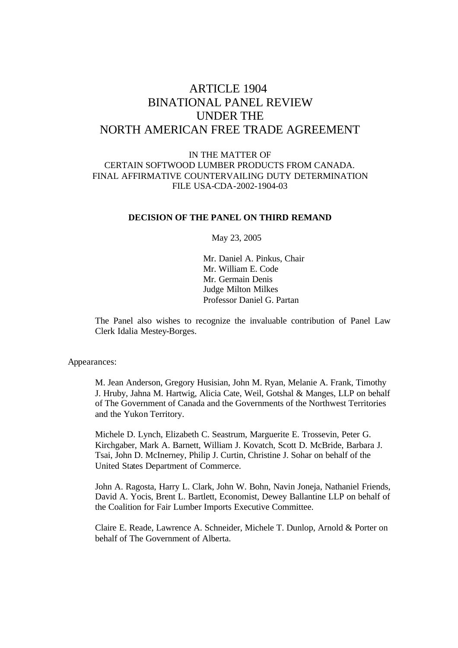# ARTICLE 1904 BINATIONAL PANEL REVIEW UNDER THE NORTH AMERICAN FREE TRADE AGREEMENT

## IN THE MATTER OF CERTAIN SOFTWOOD LUMBER PRODUCTS FROM CANADA. FINAL AFFIRMATIVE COUNTERVAILING DUTY DETERMINATION FILE USA-CDA-2002-1904-03

#### **DECISION OF THE PANEL ON THIRD REMAND**

May 23, 2005

Mr. Daniel A. Pinkus, Chair Mr. William E. Code Mr. Germain Denis Judge Milton Milkes Professor Daniel G. Partan

The Panel also wishes to recognize the invaluable contribution of Panel Law Clerk Idalia Mestey-Borges.

Appearances:

M. Jean Anderson, Gregory Husisian, John M. Ryan, Melanie A. Frank, Timothy J. Hruby, Jahna M. Hartwig, Alicia Cate, Weil, Gotshal & Manges, LLP on behalf of The Government of Canada and the Governments of the Northwest Territories and the Yukon Territory.

Michele D. Lynch, Elizabeth C. Seastrum, Marguerite E. Trossevin, Peter G. Kirchgaber, Mark A. Barnett, William J. Kovatch, Scott D. McBride, Barbara J. Tsai, John D. McInerney, Philip J. Curtin, Christine J. Sohar on behalf of the United States Department of Commerce.

John A. Ragosta, Harry L. Clark, John W. Bohn, Navin Joneja, Nathaniel Friends, David A. Yocis, Brent L. Bartlett, Economist, Dewey Ballantine LLP on behalf of the Coalition for Fair Lumber Imports Executive Committee.

Claire E. Reade, Lawrence A. Schneider, Michele T. Dunlop, Arnold & Porter on behalf of The Government of Alberta.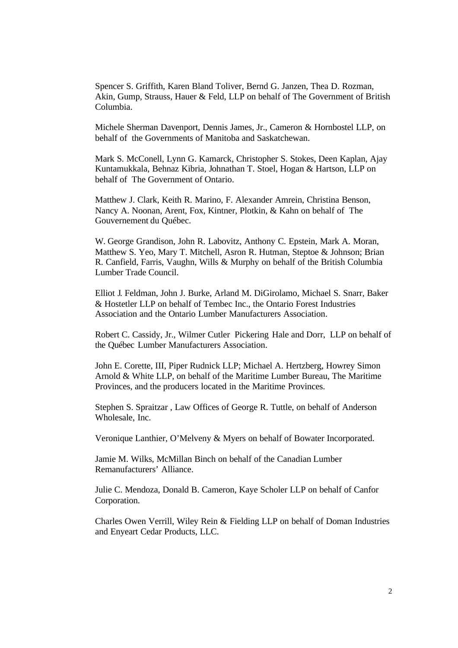Spencer S. Griffith, Karen Bland Toliver, Bernd G. Janzen, Thea D. Rozman, Akin, Gump, Strauss, Hauer & Feld, LLP on behalf of The Government of British Columbia.

Michele Sherman Davenport, Dennis James, Jr., Cameron & Hornbostel LLP, on behalf of the Governments of Manitoba and Saskatchewan.

Mark S. McConell, Lynn G. Kamarck, Christopher S. Stokes, Deen Kaplan, Ajay Kuntamukkala, Behnaz Kibria, Johnathan T. Stoel, Hogan & Hartson, LLP on behalf of The Government of Ontario.

Matthew J. Clark, Keith R. Marino, F. Alexander Amrein, Christina Benson, Nancy A. Noonan, Arent, Fox, Kintner, Plotkin, & Kahn on behalf of The Gouvernement du Québec.

W. George Grandison, John R. Labovitz, Anthony C. Epstein, Mark A. Moran, Matthew S. Yeo, Mary T. Mitchell, Asron R. Hutman, Steptoe & Johnson; Brian R. Canfield, Farris, Vaughn, Wills & Murphy on behalf of the British Columbia Lumber Trade Council.

Elliot J. Feldman, John J. Burke, Arland M. DiGirolamo, Michael S. Snarr, Baker & Hostetler LLP on behalf of Tembec Inc., the Ontario Forest Industries Association and the Ontario Lumber Manufacturers Association.

Robert C. Cassidy, Jr., Wilmer Cutler Pickering Hale and Dorr, LLP on behalf of the Québec Lumber Manufacturers Association.

John E. Corette, III, Piper Rudnick LLP; Michael A. Hertzberg, Howrey Simon Arnold & White LLP, on behalf of the Maritime Lumber Bureau, The Maritime Provinces, and the producers located in the Maritime Provinces.

Stephen S. Spraitzar , Law Offices of George R. Tuttle, on behalf of Anderson Wholesale, Inc.

Veronique Lanthier, O'Melveny & Myers on behalf of Bowater Incorporated.

Jamie M. Wilks, McMillan Binch on behalf of the Canadian Lumber Remanufacturers' Alliance.

Julie C. Mendoza, Donald B. Cameron, Kaye Scholer LLP on behalf of Canfor Corporation.

Charles Owen Verrill, Wiley Rein & Fielding LLP on behalf of Doman Industries and Enyeart Cedar Products, LLC.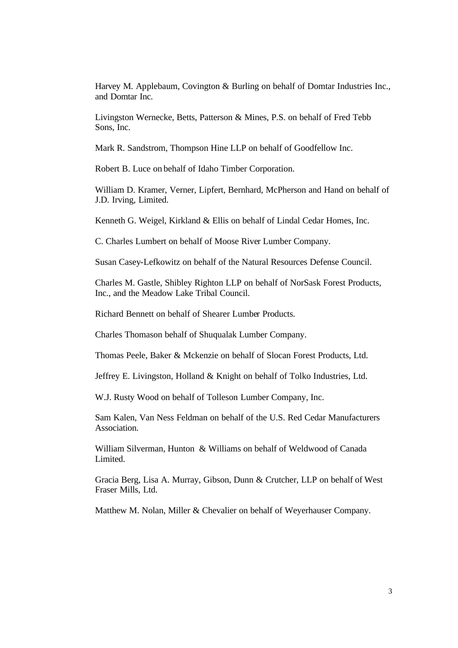Harvey M. Applebaum, Covington & Burling on behalf of Domtar Industries Inc., and Domtar Inc.

Livingston Wernecke, Betts, Patterson & Mines, P.S. on behalf of Fred Tebb Sons, Inc.

Mark R. Sandstrom, Thompson Hine LLP on behalf of Goodfellow Inc.

Robert B. Luce on behalf of Idaho Timber Corporation.

William D. Kramer, Verner, Lipfert, Bernhard, McPherson and Hand on behalf of J.D. Irving, Limited.

Kenneth G. Weigel, Kirkland & Ellis on behalf of Lindal Cedar Homes, Inc.

C. Charles Lumbert on behalf of Moose River Lumber Company.

Susan Casey-Lefkowitz on behalf of the Natural Resources Defense Council.

Charles M. Gastle, Shibley Righton LLP on behalf of NorSask Forest Products, Inc., and the Meadow Lake Tribal Council.

Richard Bennett on behalf of Shearer Lumber Products.

Charles Thomason behalf of Shuqualak Lumber Company.

Thomas Peele, Baker & Mckenzie on behalf of Slocan Forest Products, Ltd.

Jeffrey E. Livingston, Holland & Knight on behalf of Tolko Industries, Ltd.

W.J. Rusty Wood on behalf of Tolleson Lumber Company, Inc.

Sam Kalen, Van Ness Feldman on behalf of the U.S. Red Cedar Manufacturers Association.

William Silverman, Hunton & Williams on behalf of Weldwood of Canada Limited.

Gracia Berg, Lisa A. Murray, Gibson, Dunn & Crutcher, LLP on behalf of West Fraser Mills, Ltd.

Matthew M. Nolan, Miller & Chevalier on behalf of Weyerhauser Company.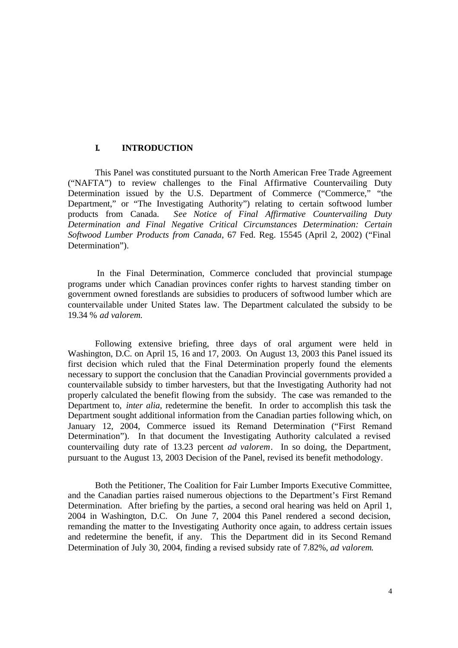## **I. INTRODUCTION**

This Panel was constituted pursuant to the North American Free Trade Agreement ("NAFTA") to review challenges to the Final Affirmative Countervailing Duty Determination issued by the U.S. Department of Commerce ("Commerce," "the Department," or "The Investigating Authority") relating to certain softwood lumber products from Canada. *See Notice of Final Affirmative Countervailing Duty Determination and Final Negative Critical Circumstances Determination: Certain Softwood Lumber Products from Canada*, 67 Fed. Reg. 15545 (April 2, 2002) ("Final Determination").

 In the Final Determination, Commerce concluded that provincial stumpage programs under which Canadian provinces confer rights to harvest standing timber on government owned forestlands are subsidies to producers of softwood lumber which are countervailable under United States law. The Department calculated the subsidy to be 19.34 % *ad valorem.*

Following extensive briefing, three days of oral argument were held in Washington, D.C. on April 15, 16 and 17, 2003. On August 13, 2003 this Panel issued its first decision which ruled that the Final Determination properly found the elements necessary to support the conclusion that the Canadian Provincial governments provided a countervailable subsidy to timber harvesters, but that the Investigating Authority had not properly calculated the benefit flowing from the subsidy. The case was remanded to the Department to, *inter alia,* redetermine the benefit. In order to accomplish this task the Department sought additional information from the Canadian parties following which, on January 12, 2004, Commerce issued its Remand Determination ("First Remand Determination"). In that document the Investigating Authority calculated a revised countervailing duty rate of 13.23 percent *ad valorem*. In so doing, the Department, pursuant to the August 13, 2003 Decision of the Panel, revised its benefit methodology.

Both the Petitioner, The Coalition for Fair Lumber Imports Executive Committee, and the Canadian parties raised numerous objections to the Department's First Remand Determination. After briefing by the parties, a second oral hearing was held on April 1, 2004 in Washington, D.C. On June 7, 2004 this Panel rendered a second decision, remanding the matter to the Investigating Authority once again, to address certain issues and redetermine the benefit, if any. This the Department did in its Second Remand Determination of July 30, 2004, finding a revised subsidy rate of 7.82%, *ad valorem*.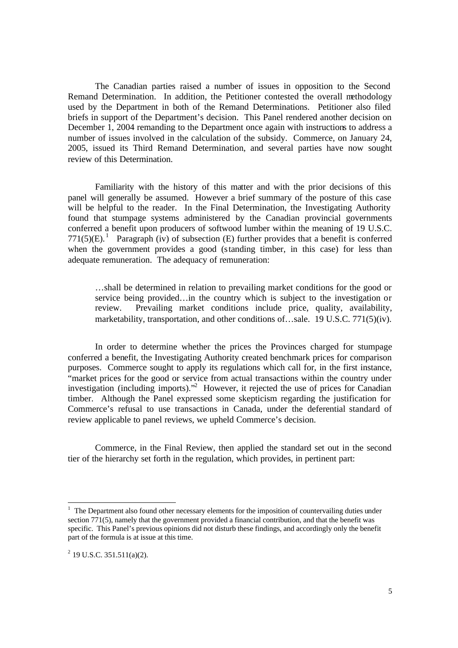The Canadian parties raised a number of issues in opposition to the Second Remand Determination. In addition, the Petitioner contested the overall methodology used by the Department in both of the Remand Determinations. Petitioner also filed briefs in support of the Department's decision. This Panel rendered another decision on December 1, 2004 remanding to the Department once again with instructions to address a number of issues involved in the calculation of the subsidy. Commerce, on January 24, 2005, issued its Third Remand Determination, and several parties have now sought review of this Determination.

Familiarity with the history of this matter and with the prior decisions of this panel will generally be assumed. However a brief summary of the posture of this case will be helpful to the reader. In the Final Determination, the Investigating Authority found that stumpage systems administered by the Canadian provincial governments conferred a benefit upon producers of softwood lumber within the meaning of 19 U.S.C. 771(5)(E).<sup>1</sup> Paragraph (iv) of subsection (E) further provides that a benefit is conferred when the government provides a good (standing timber, in this case) for less than adequate remuneration. The adequacy of remuneration:

…shall be determined in relation to prevailing market conditions for the good or service being provided…in the country which is subject to the investigation or review. Prevailing market conditions include price, quality, availability, marketability, transportation, and other conditions of…sale. 19 U.S.C. 771(5)(iv).

In order to determine whether the prices the Provinces charged for stumpage conferred a benefit, the Investigating Authority created benchmark prices for comparison purposes. Commerce sought to apply its regulations which call for, in the first instance, "market prices for the good or service from actual transactions within the country under investigation (including imports)."<sup>2</sup> However, it rejected the use of prices for Canadian timber. Although the Panel expressed some skepticism regarding the justification for Commerce's refusal to use transactions in Canada, under the deferential standard of review applicable to panel reviews, we upheld Commerce's decision.

Commerce, in the Final Review, then applied the standard set out in the second tier of the hierarchy set forth in the regulation, which provides, in pertinent part:

<sup>&</sup>lt;sup>1</sup> The Department also found other necessary elements for the imposition of countervailing duties under section 771(5), namely that the government provided a financial contribution, and that the benefit was specific. This Panel's previous opinions did not disturb these findings, and accordingly only the benefit part of the formula is at issue at this time.

 $2^{2}$  19 U.S.C. 351.511(a)(2).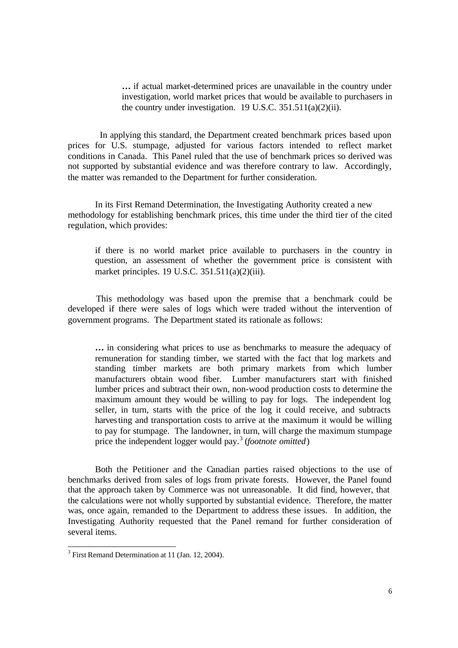**…** if actual market-determined prices are unavailable in the country under investigation, world market prices that would be available to purchasers in the country under investigation.19 U.S.C. 351.511(a)(2)(ii).

 In applying this standard, the Department created benchmark prices based upon prices for U.S. stumpage, adjusted for various factors intended to reflect market conditions in Canada. This Panel ruled that the use of benchmark prices so derived was not supported by substantial evidence and was therefore contrary to law. Accordingly, the matter was remanded to the Department for further consideration.

In its First Remand Determination, the Investigating Authority created a new methodology for establishing benchmark prices, this time under the third tier of the cited regulation, which provides:

if there is no world market price available to purchasers in the country in question, an assessment of whether the government price is consistent with market principles. 19 U.S.C. 351.511(a)(2)(iii).

 This methodology was based upon the premise that a benchmark could be developed if there were sales of logs which were traded without the intervention of government programs. The Department stated its rationale as follows:

**…** in considering what prices to use as benchmarks to measure the adequacy of remuneration for standing timber, we started with the fact that log markets and standing timber markets are both primary markets from which lumber manufacturers obtain wood fiber. Lumber manufacturers start with finished lumber prices and subtract their own, non-wood production costs to determine the maximum amount they would be willing to pay for logs. The independent log seller, in turn, starts with the price of the log it could receive, and subtracts harvesting and transportation costs to arrive at the maximum it would be willing to pay for stumpage. The landowner, in turn, will charge the maximum stumpage price the independent logger would pay.<sup>3</sup> (*footnote omitted*)

 Both the Petitioner and the Canadian parties raised objections to the use of benchmarks derived from sales of logs from private forests. However, the Panel found that the approach taken by Commerce was not unreasonable. It did find, however, that the calculations were not wholly supported by substantial evidence. Therefore, the matter was, once again, remanded to the Department to address these issues. In addition, the Investigating Authority requested that the Panel remand for further consideration of several items.

<sup>&</sup>lt;sup>3</sup> First Remand Determination at 11 (Jan. 12, 2004).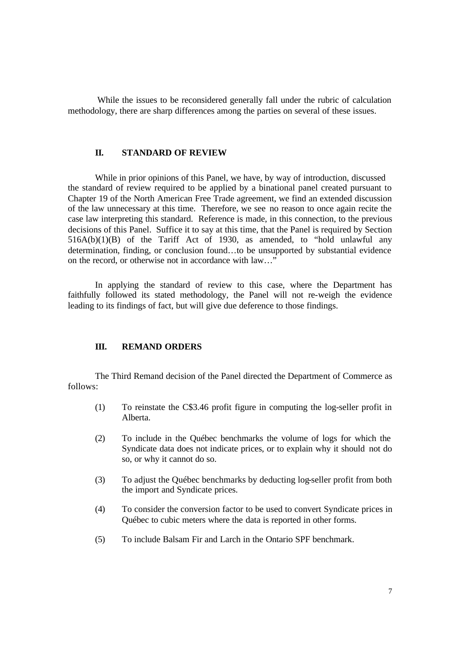While the issues to be reconsidered generally fall under the rubric of calculation methodology, there are sharp differences among the parties on several of these issues.

#### **II. STANDARD OF REVIEW**

While in prior opinions of this Panel, we have, by way of introduction, discussed the standard of review required to be applied by a binational panel created pursuant to Chapter 19 of the North American Free Trade agreement, we find an extended discussion of the law unnecessary at this time. Therefore, we see no reason to once again recite the case law interpreting this standard. Reference is made, in this connection, to the previous decisions of this Panel. Suffice it to say at this time, that the Panel is required by Section  $516A(b)(1)(B)$  of the Tariff Act of 1930, as amended, to "hold unlawful any determination, finding, or conclusion found…to be unsupported by substantial evidence on the record, or otherwise not in accordance with law…"

In applying the standard of review to this case, where the Department has faithfully followed its stated methodology, the Panel will not re-weigh the evidence leading to its findings of fact, but will give due deference to those findings.

#### **III. REMAND ORDERS**

The Third Remand decision of the Panel directed the Department of Commerce as follows:

- (1) To reinstate the C\$3.46 profit figure in computing the log-seller profit in Alberta.
- (2) To include in the Québec benchmarks the volume of logs for which the Syndicate data does not indicate prices, or to explain why it should not do so, or why it cannot do so.
- (3) To adjust the Québec benchmarks by deducting log-seller profit from both the import and Syndicate prices.
- (4) To consider the conversion factor to be used to convert Syndicate prices in Québec to cubic meters where the data is reported in other forms.
- (5) To include Balsam Fir and Larch in the Ontario SPF benchmark.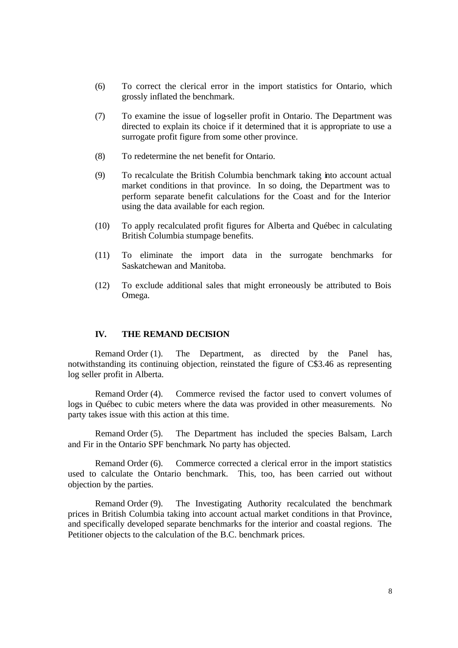- (6) To correct the clerical error in the import statistics for Ontario, which grossly inflated the benchmark.
- (7) To examine the issue of log-seller profit in Ontario. The Department was directed to explain its choice if it determined that it is appropriate to use a surrogate profit figure from some other province.
- (8) To redetermine the net benefit for Ontario.
- (9) To recalculate the British Columbia benchmark taking into account actual market conditions in that province. In so doing, the Department was to perform separate benefit calculations for the Coast and for the Interior using the data available for each region.
- (10) To apply recalculated profit figures for Alberta and Québec in calculating British Columbia stumpage benefits.
- (11) To eliminate the import data in the surrogate benchmarks for Saskatchewan and Manitoba.
- (12) To exclude additional sales that might erroneously be attributed to Bois Omega.

#### **IV. THE REMAND DECISION**

Remand Order (1). The Department, as directed by the Panel has, notwithstanding its continuing objection, reinstated the figure of C\$3.46 as representing log seller profit in Alberta.

Remand Order (4). Commerce revised the factor used to convert volumes of logs in Québec to cubic meters where the data was provided in other measurements. No party takes issue with this action at this time.

Remand Order (5). The Department has included the species Balsam, Larch and Fir in the Ontario SPF benchmark. No party has objected.

Remand Order (6). Commerce corrected a clerical error in the import statistics used to calculate the Ontario benchmark. This, too, has been carried out without objection by the parties.

Remand Order (9). The Investigating Authority recalculated the benchmark prices in British Columbia taking into account actual market conditions in that Province, and specifically developed separate benchmarks for the interior and coastal regions. The Petitioner objects to the calculation of the B.C. benchmark prices.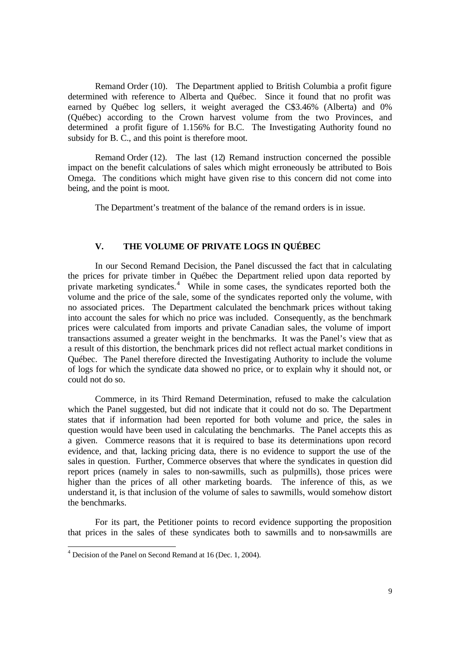Remand Order (10). The Department applied to British Columbia a profit figure determined with reference to Alberta and Québec. Since it found that no profit was earned by Québec log sellers, it weight averaged the C\$3.46% (Alberta) and 0% (Québec) according to the Crown harvest volume from the two Provinces, and determined a profit figure of 1.156% for B.C. The Investigating Authority found no subsidy for B. C., and this point is therefore moot.

Remand Order (12). The last (12) Remand instruction concerned the possible impact on the benefit calculations of sales which might erroneously be attributed to Bois Omega. The conditions which might have given rise to this concern did not come into being, and the point is moot.

The Department's treatment of the balance of the remand orders is in issue.

## **V. THE VOLUME OF PRIVATE LOGS IN QUÉBEC**

In our Second Remand Decision, the Panel discussed the fact that in calculating the prices for private timber in Québec the Department relied upon data reported by private marketing syndicates.<sup>4</sup> While in some cases, the syndicates reported both the volume and the price of the sale, some of the syndicates reported only the volume, with no associated prices. The Department calculated the benchmark prices without taking into account the sales for which no price was included. Consequently, as the benchmark prices were calculated from imports and private Canadian sales, the volume of import transactions assumed a greater weight in the benchmarks. It was the Panel's view that as a result of this distortion, the benchmark prices did not reflect actual market conditions in Québec. The Panel therefore directed the Investigating Authority to include the volume of logs for which the syndicate data showed no price, or to explain why it should not, or could not do so.

Commerce, in its Third Remand Determination, refused to make the calculation which the Panel suggested, but did not indicate that it could not do so. The Department states that if information had been reported for both volume and price, the sales in question would have been used in calculating the benchmarks. The Panel accepts this as a given. Commerce reasons that it is required to base its determinations upon record evidence, and that, lacking pricing data, there is no evidence to support the use of the sales in question. Further, Commerce observes that where the syndicates in question did report prices (namely in sales to non-sawmills, such as pulpmills), those prices were higher than the prices of all other marketing boards. The inference of this, as we understand it, is that inclusion of the volume of sales to sawmills, would somehow distort the benchmarks.

For its part, the Petitioner points to record evidence supporting the proposition that prices in the sales of these syndicates both to sawmills and to non-sawmills are

 4 Decision of the Panel on Second Remand at 16 (Dec. 1, 2004).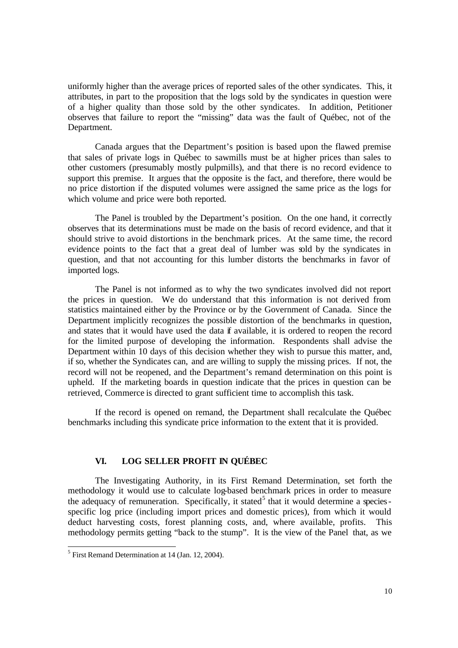uniformly higher than the average prices of reported sales of the other syndicates. This, it attributes, in part to the proposition that the logs sold by the syndicates in question were of a higher quality than those sold by the other syndicates. In addition, Petitioner observes that failure to report the "missing" data was the fault of Québec, not of the Department.

Canada argues that the Department's position is based upon the flawed premise that sales of private logs in Québec to sawmills must be at higher prices than sales to other customers (presumably mostly pulpmills), and that there is no record evidence to support this premise. It argues that the opposite is the fact, and therefore, there would be no price distortion if the disputed volumes were assigned the same price as the logs for which volume and price were both reported.

The Panel is troubled by the Department's position. On the one hand, it correctly observes that its determinations must be made on the basis of record evidence, and that it should strive to avoid distortions in the benchmark prices. At the same time, the record evidence points to the fact that a great deal of lumber was sold by the syndicates in question, and that not accounting for this lumber distorts the benchmarks in favor of imported logs.

The Panel is not informed as to why the two syndicates involved did not report the prices in question. We do understand that this information is not derived from statistics maintained either by the Province or by the Government of Canada. Since the Department implicitly recognizes the possible distortion of the benchmarks in question, and states that it would have used the data if available, it is ordered to reopen the record for the limited purpose of developing the information. Respondents shall advise the Department within 10 days of this decision whether they wish to pursue this matter, and, if so, whether the Syndicates can, and are willing to supply the missing prices. If not, the record will not be reopened, and the Department's remand determination on this point is upheld. If the marketing boards in question indicate that the prices in question can be retrieved, Commerce is directed to grant sufficient time to accomplish this task.

If the record is opened on remand, the Department shall recalculate the Québec benchmarks including this syndicate price information to the extent that it is provided.

## **VI. LOG SELLER PROFIT IN QUÉBEC**

The Investigating Authority, in its First Remand Determination, set forth the methodology it would use to calculate log-based benchmark prices in order to measure the adequacy of remuneration. Specifically, it stated<sup>5</sup> that it would determine a speciesspecific log price (including import prices and domestic prices), from which it would deduct harvesting costs, forest planning costs, and, where available, profits. This methodology permits getting "back to the stump". It is the view of the Panel that, as we

<sup>&</sup>lt;sup>5</sup> First Remand Determination at 14 (Jan. 12, 2004).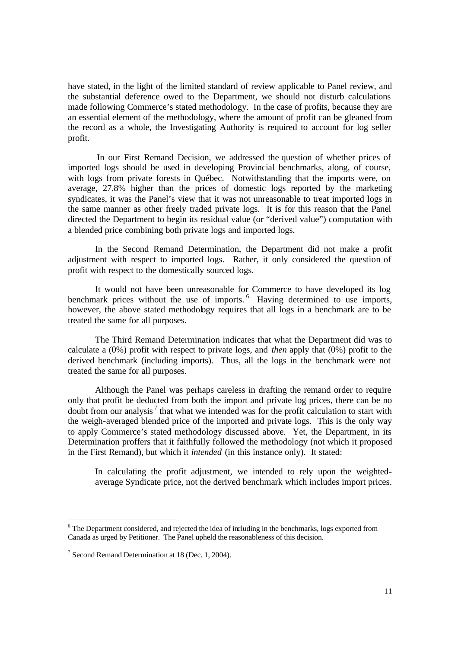have stated, in the light of the limited standard of review applicable to Panel review, and the substantial deference owed to the Department, we should not disturb calculations made following Commerce's stated methodology. In the case of profits, because they are an essential element of the methodology, where the amount of profit can be gleaned from the record as a whole, the Investigating Authority is required to account for log seller profit.

In our First Remand Decision, we addressed the question of whether prices of imported logs should be used in developing Provincial benchmarks, along, of course, with logs from private forests in Québec. Notwithstanding that the imports were, on average, 27.8% higher than the prices of domestic logs reported by the marketing syndicates, it was the Panel's view that it was not unreasonable to treat imported logs in the same manner as other freely traded private logs. It is for this reason that the Panel directed the Department to begin its residual value (or "derived value") computation with a blended price combining both private logs and imported logs.

In the Second Remand Determination, the Department did not make a profit adjustment with respect to imported logs. Rather, it only considered the question of profit with respect to the domestically sourced logs.

It would not have been unreasonable for Commerce to have developed its log benchmark prices without the use of imports.  $6$  Having determined to use imports, however, the above stated methodology requires that all logs in a benchmark are to be treated the same for all purposes.

The Third Remand Determination indicates that what the Department did was to calculate a (0%) profit with respect to private logs, and *then* apply that (0%) profit to the derived benchmark (including imports). Thus, all the logs in the benchmark were not treated the same for all purposes.

Although the Panel was perhaps careless in drafting the remand order to require only that profit be deducted from both the import and private log prices, there can be no doubt from our analysis<sup>7</sup> that what we intended was for the profit calculation to start with the weigh-averaged blended price of the imported and private logs. This is the only way to apply Commerce's stated methodology discussed above. Yet, the Department, in its Determination proffers that it faithfully followed the methodology (not which it proposed in the First Remand), but which it *intended* (in this instance only). It stated:

In calculating the profit adjustment, we intended to rely upon the weightedaverage Syndicate price, not the derived benchmark which includes import prices.

1

 $6$  The Department considered, and rejected the idea of including in the benchmarks, logs exported from Canada as urged by Petitioner. The Panel upheld the reasonableness of this decision.

<sup>&</sup>lt;sup>7</sup> Second Remand Determination at 18 (Dec. 1, 2004).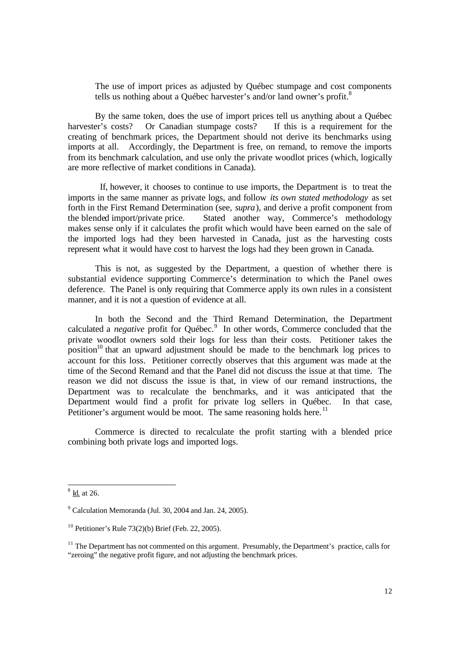The use of import prices as adjusted by Québec stumpage and cost components tells us nothing about a Québec harvester's and/or land owner's profit.<sup>8</sup>

By the same token, does the use of import prices tell us anything about a Québec harvester's costs? Or Canadian stumpage costs? If this is a requirement for the creating of benchmark prices, the Department should not derive its benchmarks using imports at all. Accordingly, the Department is free, on remand, to remove the imports from its benchmark calculation, and use only the private woodlot prices (which, logically are more reflective of market conditions in Canada).

 If, however, it chooses to continue to use imports, the Department is to treat the imports in the same manner as private logs, and follow *its own stated methodology* as set forth in the First Remand Determination (see, *supra*), and derive a profit component from the blended import/private price. Stated another way, Commerce's methodology makes sense only if it calculates the profit which would have been earned on the sale of the imported logs had they been harvested in Canada, just as the harvesting costs represent what it would have cost to harvest the logs had they been grown in Canada.

This is not, as suggested by the Department, a question of whether there is substantial evidence supporting Commerce's determination to which the Panel owes deference. The Panel is only requiring that Commerce apply its own rules in a consistent manner, and it is not a question of evidence at all.

In both the Second and the Third Remand Determination, the Department calculated a *negative* profit for Québec.<sup>9</sup> In other words, Commerce concluded that the private woodlot owners sold their logs for less than their costs. Petitioner takes the position<sup>10</sup> that an upward adjustment should be made to the benchmark log prices to account for this loss. Petitioner correctly observes that this argument was made at the time of the Second Remand and that the Panel did not discuss the issue at that time. The reason we did not discuss the issue is that, in view of our remand instructions, the Department was to recalculate the benchmarks, and it was anticipated that the Department would find a profit for private log sellers in Québec. In that case, Petitioner's argument would be moot. The same reasoning holds here.<sup>11</sup>

Commerce is directed to recalculate the profit starting with a blended price combining both private logs and imported logs.

 $\frac{8}{1}$  Id. at 26.

 $9^9$  Calculation Memoranda (Jul. 30, 2004 and Jan. 24, 2005).

<sup>&</sup>lt;sup>10</sup> Petitioner's Rule 73(2)(b) Brief (Feb. 22, 2005).

 $11$  The Department has not commented on this argument. Presumably, the Department's practice, calls for "zeroing" the negative profit figure, and not adjusting the benchmark prices.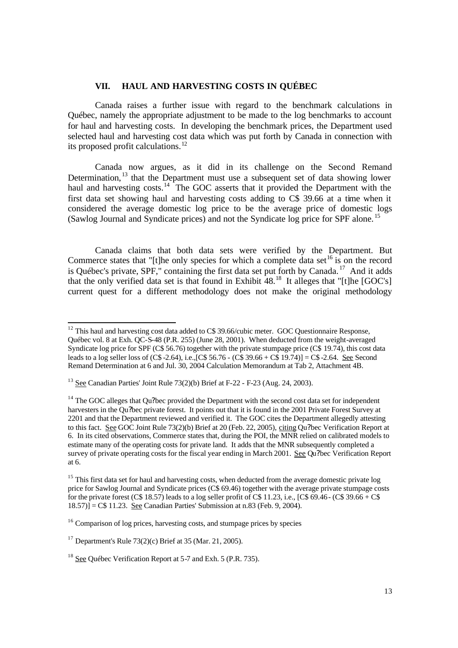## **VII. HAUL AND HARVESTING COSTS IN QUÉBEC**

Canada raises a further issue with regard to the benchmark calculations in Québec, namely the appropriate adjustment to be made to the log benchmarks to account for haul and harvesting costs. In developing the benchmark prices, the Department used selected haul and harvesting cost data which was put forth by Canada in connection with its proposed profit calculations.<sup>12</sup>

Canada now argues, as it did in its challenge on the Second Remand Determination,<sup>13</sup> that the Department must use a subsequent set of data showing lower haul and harvesting costs.<sup>14</sup> The GOC asserts that it provided the Department with the first data set showing haul and harvesting costs adding to C\$ 39.66 at a time when it considered the average domestic log price to be the average price of domestic logs (Sawlog Journal and Syndicate prices) and not the Syndicate log price for SPF alone. <sup>15</sup>

Canada claims that both data sets were verified by the Department. But Commerce states that "[t]he only species for which a complete data set  $^{16}$  is on the record is Québec's private, SPF," containing the first data set put forth by Canada. <sup>17</sup> And it adds that the only verified data set is that found in Exhibit  $48$ .<sup>18</sup> It alleges that "[t]he [GOC's] current quest for a different methodology does not make the original methodology

 $\overline{a}$  $12$  This haul and harvesting cost data added to C\$ 39.66/cubic meter. GOC Questionnaire Response, Québec vol. 8 at Exh. QC-S-48 (P.R. 255) (June 28, 2001). When deducted from the weight-averaged Syndicate log price for SPF (C\$ 56.76) together with the private stumpage price (C\$ 19.74), this cost data leads to a log seller loss of (C\$ -2.64), i.e.,[C\$ 56.76 - (C\$ 39.66 + C\$ 19.74)] = C\$ -2.64. See Second Remand Determination at 6 and Jul. 30, 2004 Calculation Memorandum at Tab 2, Attachment 4B.

<sup>&</sup>lt;sup>13</sup> See Canadian Parties' Joint Rule  $73(2)(b)$  Brief at F-22 - F-23 (Aug. 24, 2003).

<sup>&</sup>lt;sup>14</sup> The GOC alleges that Qu?bec provided the Department with the second cost data set for independent harvesters in the Qu?bec private forest. It points out that it is found in the 2001 Private Forest Survey at 2201 and that the Department reviewed and verified it. The GOC cites the Department allegedly attesting to this fact. See GOC Joint Rule 73(2)(b) Brief at 20 (Feb. 22, 2005), citing Qu?bec Verification Report at 6. In its cited observations, Commerce states that, during the POI, the MNR relied on calibrated models to estimate many of the operating costs for private land. It adds that the MNR subsequently completed a survey of private operating costs for the fiscal year ending in March 2001. See Qu?bec Verification Report at 6.

<sup>&</sup>lt;sup>15</sup> This first data set for haul and harvesting costs, when deducted from the average domestic private log price for Sawlog Journal and Syndicate prices (C\$ 69.46) together with the average private stumpage costs for the private forest (C\$ 18.57) leads to a log seller profit of C\$ 11.23, i.e., [C\$ 69.46 - (C\$ 39.66 + C\$  $[18.57]$ ] = C\$ 11.23. See Canadian Parties' Submission at n.83 (Feb. 9, 2004).

<sup>&</sup>lt;sup>16</sup> Comparison of log prices, harvesting costs, and stumpage prices by species

<sup>&</sup>lt;sup>17</sup> Department's Rule  $73(2)(c)$  Brief at 35 (Mar. 21, 2005).

<sup>&</sup>lt;sup>18</sup> See Québec Verification Report at 5-7 and Exh. 5 (P.R. 735).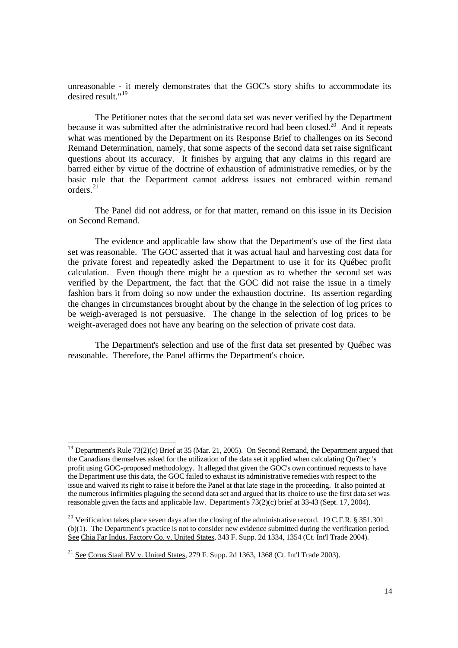unreasonable - it merely demonstrates that the GOC's story shifts to accommodate its desired result."<sup>19</sup>

The Petitioner notes that the second data set was never verified by the Department because it was submitted after the administrative record had been closed.<sup>20</sup> And it repeats what was mentioned by the Department on its Response Brief to challenges on its Second Remand Determination, namely, that some aspects of the second data set raise significant questions about its accuracy. It finishes by arguing that any claims in this regard are barred either by virtue of the doctrine of exhaustion of administrative remedies, or by the basic rule that the Department cannot address issues not embraced within remand orders.<sup>21</sup>

The Panel did not address, or for that matter, remand on this issue in its Decision on Second Remand.

The evidence and applicable law show that the Department's use of the first data set was reasonable. The GOC asserted that it was actual haul and harvesting cost data for the private forest and repeatedly asked the Department to use it for its Québec profit calculation. Even though there might be a question as to whether the second set was verified by the Department, the fact that the GOC did not raise the issue in a timely fashion bars it from doing so now under the exhaustion doctrine. Its assertion regarding the changes in circumstances brought about by the change in the selection of log prices to be weigh-averaged is not persuasive. The change in the selection of log prices to be weight-averaged does not have any bearing on the selection of private cost data.

The Department's selection and use of the first data set presented by Québec was reasonable. Therefore, the Panel affirms the Department's choice.

<sup>&</sup>lt;sup>19</sup> Department's Rule 73(2)(c) Brief at 35 (Mar. 21, 2005). On Second Remand, the Department argued that the Canadians themselves asked for the utilization of the data set it applied when calculating Qu?bec 's profit using GOC-proposed methodology. It alleged that given the GOC's own continued requests to have the Department use this data, the GOC failed to exhaust its administrative remedies with respect to the issue and waived its right to raise it before the Panel at that late stage in the proceeding. It also pointed at the numerous infirmities plaguing the second data set and argued that its choice to use the first data set was reasonable given the facts and applicable law. Department's 73(2)(c) brief at 33-43 (Sept. 17, 2004).

<sup>&</sup>lt;sup>20</sup> Verification takes place seven days after the closing of the administrative record. 19 C.F.R. § 351.301 (b)(1). The Department's practice is not to consider new evidence submitted during the verification period. See Chia Far Indus. Factory Co. v. United States, 343 F. Supp. 2d 1334, 1354 (Ct. Int'l Trade 2004).

<sup>&</sup>lt;sup>21</sup> See Corus Staal BV v. United States, 279 F. Supp. 2d 1363, 1368 (Ct. Int'l Trade 2003).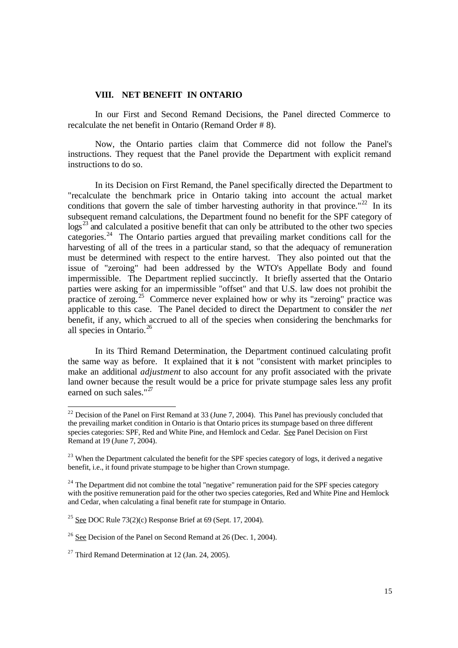#### **VIII. NET BENEFIT IN ONTARIO**

In our First and Second Remand Decisions, the Panel directed Commerce to recalculate the net benefit in Ontario (Remand Order # 8).

Now, the Ontario parties claim that Commerce did not follow the Panel's instructions. They request that the Panel provide the Department with explicit remand instructions to do so.

In its Decision on First Remand, the Panel specifically directed the Department to "recalculate the benchmark price in Ontario taking into account the actual market conditions that govern the sale of timber harvesting authority in that province."<sup>22</sup> In its subsequent remand calculations, the Department found no benefit for the SPF category of  $\log^{23}$  and calculated a positive benefit that can only be attributed to the other two species categories.<sup>24</sup> The Ontario parties argued that prevailing market conditions call for the harvesting of all of the trees in a particular stand, so that the adequacy of remuneration must be determined with respect to the entire harvest. They also pointed out that the issue of "zeroing" had been addressed by the WTO's Appellate Body and found impermissible. The Department replied succinctly. It briefly asserted that the Ontario parties were asking for an impermissible "offset" and that U.S. law does not prohibit the practice of zeroing.<sup>25</sup> Commerce never explained how or why its "zeroing" practice was applicable to this case. The Panel decided to direct the Department to consider the *net* benefit, if any, which accrued to all of the species when considering the benchmarks for all species in Ontario.<sup>26</sup>

In its Third Remand Determination, the Department continued calculating profit the same way as before. It explained that it is not "consistent with market principles to make an additional *adjustment* to also account for any profit associated with the private land owner because the result would be a price for private stumpage sales less any profit earned on such sales." $27$ 

 $^{22}$  Decision of the Panel on First Remand at 33 (June 7, 2004). This Panel has previously concluded that the prevailing market condition in Ontario is that Ontario prices its stumpage based on three different species categories: SPF, Red and White Pine, and Hemlock and Cedar. See Panel Decision on First Remand at 19 (June 7, 2004).

<sup>&</sup>lt;sup>23</sup> When the Department calculated the benefit for the SPF species category of logs, it derived a negative benefit, i.e., it found private stumpage to be higher than Crown stumpage.

<sup>&</sup>lt;sup>24</sup> The Department did not combine the total "negative" remuneration paid for the SPF species category with the positive remuneration paid for the other two species categories, Red and White Pine and Hemlock and Cedar, when calculating a final benefit rate for stumpage in Ontario.

<sup>&</sup>lt;sup>25</sup> See DOC Rule  $73(2)(c)$  Response Brief at 69 (Sept. 17, 2004).

 $26$  See Decision of the Panel on Second Remand at 26 (Dec. 1, 2004).

<sup>&</sup>lt;sup>27</sup> Third Remand Determination at 12 (Jan. 24, 2005).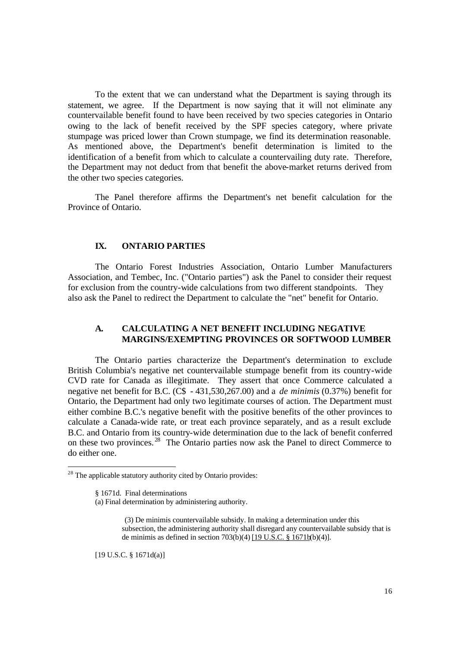To the extent that we can understand what the Department is saying through its statement, we agree. If the Department is now saying that it will not eliminate any countervailable benefit found to have been received by two species categories in Ontario owing to the lack of benefit received by the SPF species category, where private stumpage was priced lower than Crown stumpage, we find its determination reasonable. As mentioned above, the Department's benefit determination is limited to the identification of a benefit from which to calculate a countervailing duty rate. Therefore, the Department may not deduct from that benefit the above-market returns derived from the other two species categories.

The Panel therefore affirms the Department's net benefit calculation for the Province of Ontario.

## **IX. ONTARIO PARTIES**

The Ontario Forest Industries Association, Ontario Lumber Manufacturers Association, and Tembec, Inc. ("Ontario parties") ask the Panel to consider their request for exclusion from the country-wide calculations from two different standpoints. They also ask the Panel to redirect the Department to calculate the "net" benefit for Ontario.

#### **A. CALCULATING A NET BENEFIT INCLUDING NEGATIVE MARGINS/EXEMPTING PROVINCES OR SOFTWOOD LUMBER**

The Ontario parties characterize the Department's determination to exclude British Columbia's negative net countervailable stumpage benefit from its country-wide CVD rate for Canada as illegitimate. They assert that once Commerce calculated a negative net benefit for B.C. (C\$ - 431,530,267.00) and a *de minimis* (0.37%) benefit for Ontario, the Department had only two legitimate courses of action. The Department must either combine B.C.'s negative benefit with the positive benefits of the other provinces to calculate a Canada-wide rate, or treat each province separately, and as a result exclude B.C. and Ontario from its country-wide determination due to the lack of benefit conferred on these two provinces. <sup>28</sup> The Ontario parties now ask the Panel to direct Commerce to do either one.

1

(3) De minimis countervailable subsidy. In making a determination under this subsection, the administering authority shall disregard any countervailable subsidy that is de minimis as defined in section 703(b)(4) [19 U.S.C. § 1671b(b)(4)].

[19 U.S.C. § 1671d(a)]

 $2<sup>28</sup>$  The applicable statutory authority cited by Ontario provides:

<sup>§ 1671</sup>d. Final determinations

<sup>(</sup>a) Final determination by administering authority.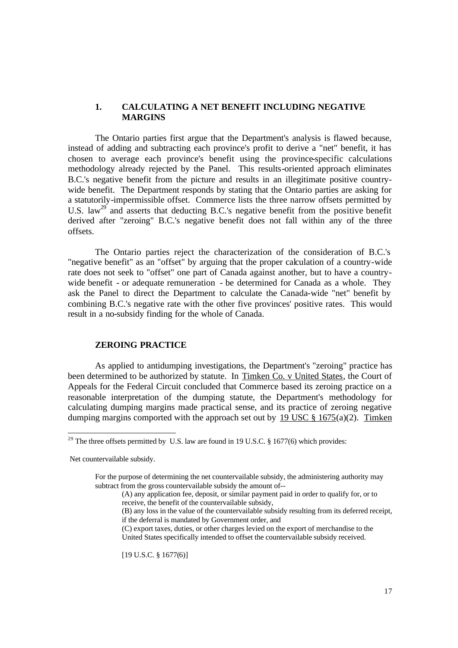#### **1. CALCULATING A NET BENEFIT INCLUDING NEGATIVE MARGINS**

The Ontario parties first argue that the Department's analysis is flawed because, instead of adding and subtracting each province's profit to derive a "net" benefit, it has chosen to average each province's benefit using the province-specific calculations methodology already rejected by the Panel. This results-oriented approach eliminates B.C.'s negative benefit from the picture and results in an illegitimate positive countrywide benefit. The Department responds by stating that the Ontario parties are asking for a statutorily-impermissible offset. Commerce lists the three narrow offsets permitted by U.S. law<sup>29</sup> and asserts that deducting B.C.'s negative benefit from the positive benefit derived after "zeroing" B.C.'s negative benefit does not fall within any of the three offsets.

 The Ontario parties reject the characterization of the consideration of B.C.'s "negative benefit" as an "offset" by arguing that the proper calculation of a country-wide rate does not seek to "offset" one part of Canada against another, but to have a countrywide benefit - or adequate remuneration - be determined for Canada as a whole. They ask the Panel to direct the Department to calculate the Canada-wide "net" benefit by combining B.C.'s negative rate with the other five provinces' positive rates. This would result in a no-subsidy finding for the whole of Canada.

## **ZEROING PRACTICE**

As applied to antidumping investigations, the Department's "zeroing" practice has been determined to be authorized by statute. In Timken Co. v United States, the Court of Appeals for the Federal Circuit concluded that Commerce based its zeroing practice on a reasonable interpretation of the dumping statute, the Department's methodology for calculating dumping margins made practical sense, and its practice of zeroing negative dumping margins comported with the approach set out by 19 USC  $\S$  1675(a)(2). Timken

Net countervailable subsidy.

1

[19 U.S.C. § 1677(6)]

<sup>&</sup>lt;sup>29</sup> The three offsets permitted by U.S. law are found in 19 U.S.C. § 1677(6) which provides:

For the purpose of determining the net countervailable subsidy, the administering authority may subtract from the gross countervailable subsidy the amount of--

<sup>(</sup>A) any application fee, deposit, or similar payment paid in order to qualify for, or to receive, the benefit of the countervailable subsidy,

<sup>(</sup>B) any loss in the value of the countervailable subsidy resulting from its deferred receipt, if the deferral is mandated by Government order, and

<sup>(</sup>C) export taxes, duties, or other charges levied on the export of merchandise to the United States specifically intended to offset the countervailable subsidy received.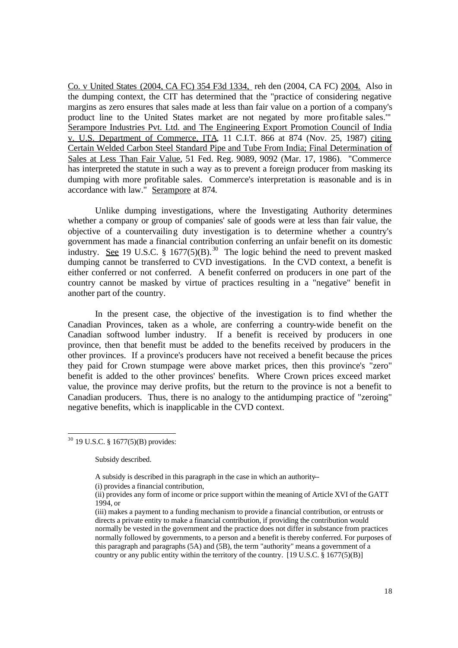Co. v United States (2004, CA FC) 354 F3d 1334, reh den (2004, CA FC) 2004. Also in the dumping context, the CIT has determined that the "practice of considering negative margins as zero ensures that sales made at less than fair value on a portion of a company's product line to the United States market are not negated by more profitable sales.'" Serampore Industries Pvt. Ltd. and The Engineering Export Promotion Council of India v. U.S. Department of Commerce, ITA, 11 C.I.T. 866 at 874 (Nov. 25, 1987) citing Certain Welded Carbon Steel Standard Pipe and Tube From India; Final Determination of Sales at Less Than Fair Value, 51 Fed. Reg. 9089, 9092 (Mar. 17, 1986). "Commerce has interpreted the statute in such a way as to prevent a foreign producer from masking its dumping with more profitable sales. Commerce's interpretation is reasonable and is in accordance with law." Serampore at 874.

Unlike dumping investigations, where the Investigating Authority determines whether a company or group of companies' sale of goods were at less than fair value, the objective of a countervailing duty investigation is to determine whether a country's government has made a financial contribution conferring an unfair benefit on its domestic industry. See 19 U.S.C. § 1677(5)(B).<sup>30</sup> The logic behind the need to prevent masked dumping cannot be transferred to CVD investigations. In the CVD context, a benefit is either conferred or not conferred. A benefit conferred on producers in one part of the country cannot be masked by virtue of practices resulting in a "negative" benefit in another part of the country.

In the present case, the objective of the investigation is to find whether the Canadian Provinces, taken as a whole, are conferring a country-wide benefit on the Canadian softwood lumber industry. If a benefit is received by producers in one province, then that benefit must be added to the benefits received by producers in the other provinces. If a province's producers have not received a benefit because the prices they paid for Crown stumpage were above market prices, then this province's "zero" benefit is added to the other provinces' benefits. Where Crown prices exceed market value, the province may derive profits, but the return to the province is not a benefit to Canadian producers. Thus, there is no analogy to the antidumping practice of "zeroing" negative benefits, which is inapplicable in the CVD context.

Subsidy described.

 $\overline{a}$  $30$  19 U.S.C. § 1677(5)(B) provides:

A subsidy is described in this paragraph in the case in which an authority--

<sup>(</sup>i) provides a financial contribution,

<sup>(</sup>ii) provides any form of income or price support within the meaning of Article XVI of the GATT 1994, or

<sup>(</sup>iii) makes a payment to a funding mechanism to provide a financial contribution, or entrusts or directs a private entity to make a financial contribution, if providing the contribution would normally be vested in the government and the practice does not differ in substance from practices normally followed by governments, to a person and a benefit is thereby conferred. For purposes of this paragraph and paragraphs (5A) and (5B), the term "authority" means a government of a country or any public entity within the territory of the country.  $[19 \text{ U.S.C.} \& 1677(5)(\text{B})]$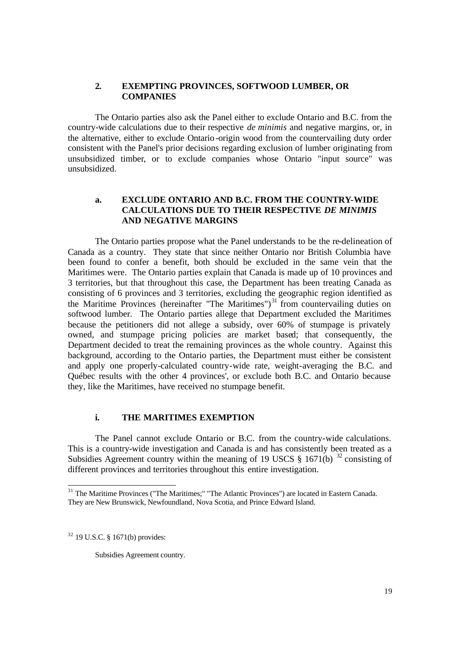#### **2. EXEMPTING PROVINCES, SOFTWOOD LUMBER, OR COMPANIES**

The Ontario parties also ask the Panel either to exclude Ontario and B.C. from the country-wide calculations due to their respective *de minimis* and negative margins, or, in the alternative, either to exclude Ontario -origin wood from the countervailing duty order consistent with the Panel's prior decisions regarding exclusion of lumber originating from unsubsidized timber, or to exclude companies whose Ontario "input source" was unsubsidized.

## **a. EXCLUDE ONTARIO AND B.C. FROM THE COUNTRY-WIDE CALCULATIONS DUE TO THEIR RESPECTIVE** *DE MINIMIS*  **AND NEGATIVE MARGINS**

The Ontario parties propose what the Panel understands to be the re-delineation of Canada as a country. They state that since neither Ontario nor British Columbia have been found to confer a benefit, both should be excluded in the same vein that the Maritimes were. The Ontario parties explain that Canada is made up of 10 provinces and 3 territories, but that throughout this case, the Department has been treating Canada as consisting of 6 provinces and 3 territories, excluding the geographic region identified as the Maritime Provinces (hereinafter "The Maritimes")<sup>31</sup> from countervailing duties on softwood lumber. The Ontario parties allege that Department excluded the Maritimes because the petitioners did not allege a subsidy, over 60% of stumpage is privately owned, and stumpage pricing policies are market based; that consequently, the Department decided to treat the remaining provinces as the whole country. Against this background, according to the Ontario parties, the Department must either be consistent and apply one properly-calculated country-wide rate, weight-averaging the B.C. and Québec results with the other 4 provinces', or exclude both B.C. and Ontario because they, like the Maritimes, have received no stumpage benefit.

## **i. THE MARITIMES EXEMPTION**

The Panel cannot exclude Ontario or B.C. from the country-wide calculations. This is a country-wide investigation and Canada is and has consistently been treated as a Subsidies Agreement country within the meaning of 19 USCS  $\S$  1671(b)  $\frac{32}{2}$  consisting of different provinces and territories throughout this entire investigation.

<sup>32</sup> 19 U.S.C. § 1671(b) provides:

1

Subsidies Agreement country.

<sup>&</sup>lt;sup>31</sup> The Maritime Provinces ("The Maritimes;" "The Atlantic Provinces") are located in Eastern Canada. They are New Brunswick, Newfoundland, Nova Scotia, and Prince Edward Island.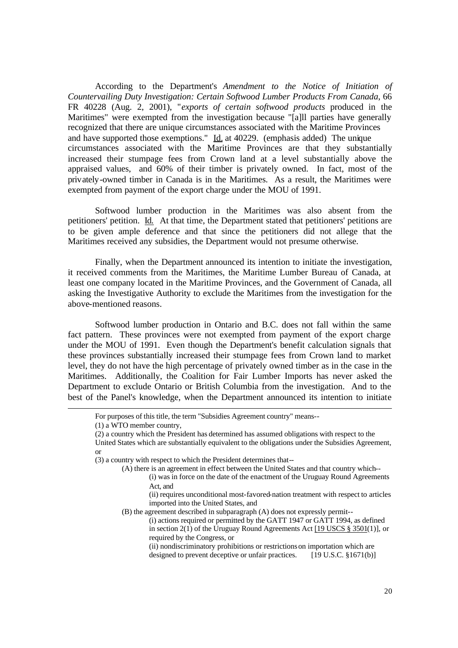According to the Department's *Amendment to the Notice of Initiation of Countervailing Duty Investigation: Certain Softwood Lumber Products From Canada*, 66 FR 40228 (Aug. 2, 2001), "*exports of certain softwood products* produced in the Maritimes" were exempted from the investigation because "[a]ll parties have generally recognized that there are unique circumstances associated with the Maritime Provinces and have supported those exemptions." Id. at 40229. (emphasis added) The unique circumstances associated with the Maritime Provinces are that they substantially increased their stumpage fees from Crown land at a level substantially above the appraised values, and 60% of their timber is privately owned. In fact, most of the privately-owned timber in Canada is in the Maritimes. As a result, the Maritimes were exempted from payment of the export charge under the MOU of 1991.

Softwood lumber production in the Maritimes was also absent from the petitioners' petition. Id.At that time, the Department stated that petitioners' petitions are to be given ample deference and that since the petitioners did not allege that the Maritimes received any subsidies, the Department would not presume otherwise.

Finally, when the Department announced its intention to initiate the investigation, it received comments from the Maritimes, the Maritime Lumber Bureau of Canada, at least one company located in the Maritime Provinces, and the Government of Canada, all asking the Investigative Authority to exclude the Maritimes from the investigation for the above-mentioned reasons.

Softwood lumber production in Ontario and B.C. does not fall within the same fact pattern. These provinces were not exempted from payment of the export charge under the MOU of 1991. Even though the Department's benefit calculation signals that these provinces substantially increased their stumpage fees from Crown land to market level, they do not have the high percentage of privately owned timber as in the case in the Maritimes. Additionally, the Coalition for Fair Lumber Imports has never asked the Department to exclude Ontario or British Columbia from the investigation. And to the best of the Panel's knowledge, when the Department announced its intention to initiate

 $\overline{a}$ 

(ii) nondiscriminatory prohibitions or restrictions on importation which are designed to prevent deceptive or unfair practices. [19 U.S.C. §1671(b)]

For purposes of this title, the term "Subsidies Agreement country" means--

<sup>(1)</sup> a WTO member country,

<sup>(2)</sup> a country which the President has determined has assumed obligations with respect to the

United States which are substantially equivalent to the obligations under the Subsidies Agreement, or

<sup>(3)</sup> a country with respect to which the President determines that--

<sup>(</sup>A) there is an agreement in effect between the United States and that country which-- (i) was in force on the date of the enactment of the Uruguay Round Agreements

Act, and

<sup>(</sup>ii) requires unconditional most-favored-nation treatment with respect to articles imported into the United States, and

<sup>(</sup>B) the agreement described in subparagraph (A) does not expressly permit--

<sup>(</sup>i) actions required or permitted by the GATT 1947 or GATT 1994, as defined in section 2(1) of the Uruguay Round Agreements Act [19 USCS § 3501(1)], or required by the Congress, or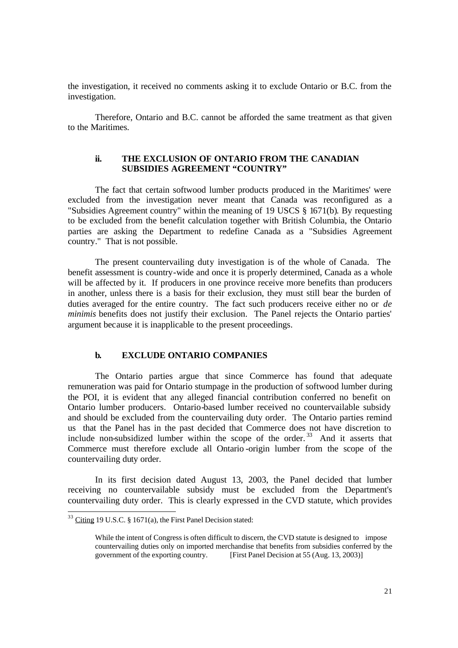the investigation, it received no comments asking it to exclude Ontario or B.C. from the investigation.

Therefore, Ontario and B.C. cannot be afforded the same treatment as that given to the Maritimes.

## **ii. THE EXCLUSION OF ONTARIO FROM THE CANADIAN SUBSIDIES AGREEMENT "COUNTRY"**

The fact that certain softwood lumber products produced in the Maritimes' were excluded from the investigation never meant that Canada was reconfigured as a "Subsidies Agreement country" within the meaning of 19 USCS § 1671(b). By requesting to be excluded from the benefit calculation together with British Columbia, the Ontario parties are asking the Department to redefine Canada as a "Subsidies Agreement country." That is not possible.

The present countervailing duty investigation is of the whole of Canada. The benefit assessment is country-wide and once it is properly determined, Canada as a whole will be affected by it. If producers in one province receive more benefits than producers in another, unless there is a basis for their exclusion, they must still bear the burden of duties averaged for the entire country. The fact such producers receive either no or *de minimis* benefits does not justify their exclusion. The Panel rejects the Ontario parties' argument because it is inapplicable to the present proceedings.

#### **b. EXCLUDE ONTARIO COMPANIES**

The Ontario parties argue that since Commerce has found that adequate remuneration was paid for Ontario stumpage in the production of softwood lumber during the POI, it is evident that any alleged financial contribution conferred no benefit on Ontario lumber producers. Ontario-based lumber received no countervailable subsidy and should be excluded from the countervailing duty order. The Ontario parties remind us that the Panel has in the past decided that Commerce does not have discretion to include non-subsidized lumber within the scope of the order.<sup>33</sup> And it asserts that Commerce must therefore exclude all Ontario -origin lumber from the scope of the countervailing duty order.

In its first decision dated August 13, 2003, the Panel decided that lumber receiving no countervailable subsidy must be excluded from the Department's countervailing duty order. This is clearly expressed in the CVD statute, which provides

 $33 \text{ Citing } 19 \text{ U.S.C. }$  § 1671(a), the First Panel Decision stated:

While the intent of Congress is often difficult to discern, the CVD statute is designed to impose countervailing duties only on imported merchandise that benefits from subsidies conferred by the government of the exporting country. [First Panel Decision at 55 (Aug. 13, 2003)]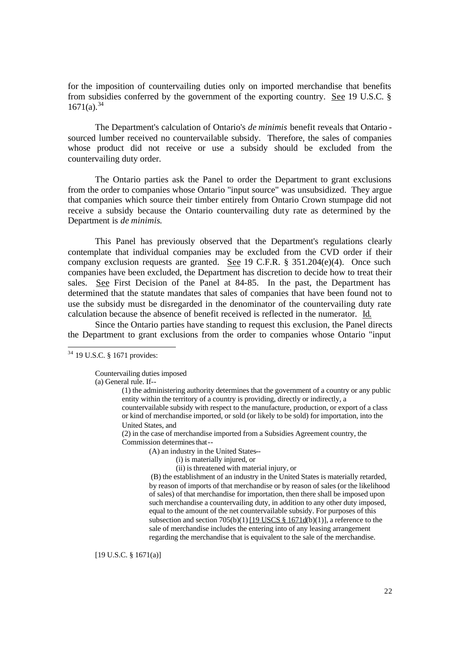for the imposition of countervailing duties only on imported merchandise that benefits from subsidies conferred by the government of the exporting country. See 19 U.S.C. §  $1671(a).^{34}$ 

The Department's calculation of Ontario's *de minimis* benefit reveals that Ontario sourced lumber received no countervailable subsidy. Therefore, the sales of companies whose product did not receive or use a subsidy should be excluded from the countervailing duty order.

The Ontario parties ask the Panel to order the Department to grant exclusions from the order to companies whose Ontario "input source" was unsubsidized. They argue that companies which source their timber entirely from Ontario Crown stumpage did not receive a subsidy because the Ontario countervailing duty rate as determined by the Department is *de minimis*.

This Panel has previously observed that the Department's regulations clearly contemplate that individual companies may be excluded from the CVD order if their company exclusion requests are granted. See 19 C.F.R. § 351.204(e)(4). Once such companies have been excluded, the Department has discretion to decide how to treat their sales. See First Decision of the Panel at 84-85. In the past, the Department has determined that the statute mandates that sales of companies that have been found not to use the subsidy must be disregarded in the denominator of the countervailing duty rate calculation because the absence of benefit received is reflected in the numerator. Id.

Since the Ontario parties have standing to request this exclusion, the Panel directs the Department to grant exclusions from the order to companies whose Ontario "input

 $\overline{a}$ 

Countervailing duties imposed

(a) General rule. If--

(1) the administering authority determines that the government of a country or any public entity within the territory of a country is providing, directly or indirectly, a countervailable subsidy with respect to the manufacture, production, or export of a class or kind of merchandise imported, or sold (or likely to be sold) for importation, into the United States, and

(2) in the case of merchandise imported from a Subsidies Agreement country, the Commission determines that--

(A) an industry in the United States--

- (i) is materially injured, or
- (ii) is threatened with material injury, or

 (B) the establishment of an industry in the United States is materially retarded, by reason of imports of that merchandise or by reason of sales (or the likelihood of sales) of that merchandise for importation, then there shall be imposed upon such merchandise a countervailing duty, in addition to any other duty imposed, equal to the amount of the net countervailable subsidy. For purposes of this subsection and section 705(b)(1)  $[19$  USCS § 1671d(b)(1)], a reference to the sale of merchandise includes the entering into of any leasing arrangement regarding the merchandise that is equivalent to the sale of the merchandise.

[19 U.S.C. § 1671(a)]

 $34$  19 U.S.C. § 1671 provides: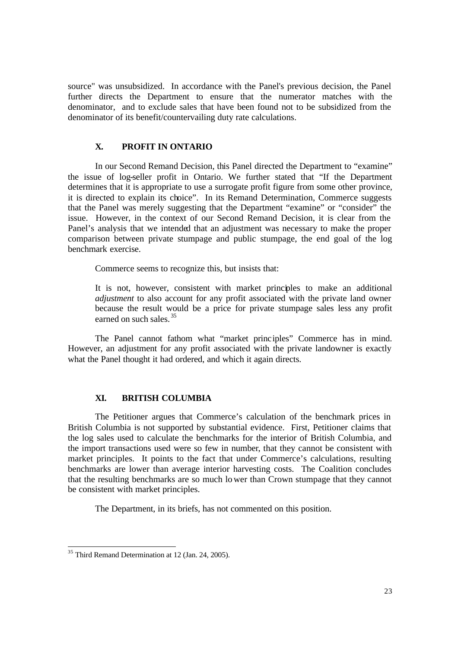source" was unsubsidized. In accordance with the Panel's previous decision, the Panel further directs the Department to ensure that the numerator matches with the denominator, and to exclude sales that have been found not to be subsidized from the denominator of its benefit/countervailing duty rate calculations.

## **X. PROFIT IN ONTARIO**

In our Second Remand Decision, this Panel directed the Department to "examine" the issue of log-seller profit in Ontario. We further stated that "If the Department determines that it is appropriate to use a surrogate profit figure from some other province, it is directed to explain its choice". In its Remand Determination, Commerce suggests that the Panel was merely suggesting that the Department "examine" or "consider" the issue. However, in the context of our Second Remand Decision, it is clear from the Panel's analysis that we intended that an adjustment was necessary to make the proper comparison between private stumpage and public stumpage, the end goal of the log benchmark exercise.

Commerce seems to recognize this, but insists that:

It is not, however, consistent with market principles to make an additional *adjustment* to also account for any profit associated with the private land owner because the result would be a price for private stumpage sales less any profit earned on such sales. <sup>35</sup>

The Panel cannot fathom what "market principles" Commerce has in mind. However, an adjustment for any profit associated with the private landowner is exactly what the Panel thought it had ordered, and which it again directs.

#### **XI. BRITISH COLUMBIA**

The Petitioner argues that Commerce's calculation of the benchmark prices in British Columbia is not supported by substantial evidence. First, Petitioner claims that the log sales used to calculate the benchmarks for the interior of British Columbia, and the import transactions used were so few in number, that they cannot be consistent with market principles. It points to the fact that under Commerce's calculations, resulting benchmarks are lower than average interior harvesting costs. The Coalition concludes that the resulting benchmarks are so much lo wer than Crown stumpage that they cannot be consistent with market principles.

The Department, in its briefs, has not commented on this position.

<sup>&</sup>lt;sup>35</sup> Third Remand Determination at 12 (Jan. 24, 2005).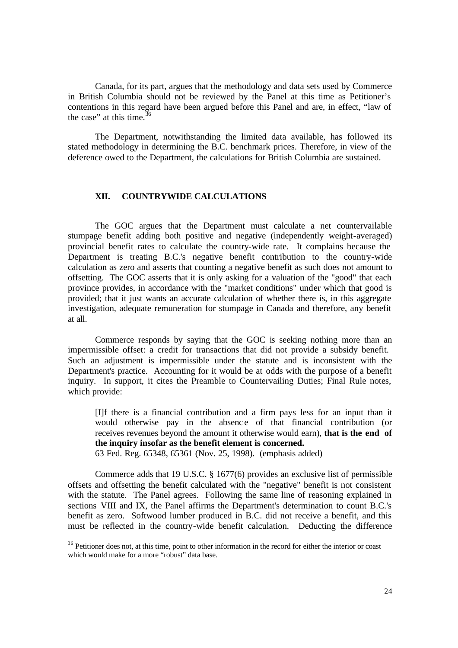Canada, for its part, argues that the methodology and data sets used by Commerce in British Columbia should not be reviewed by the Panel at this time as Petitioner's contentions in this regard have been argued before this Panel and are, in effect, "law of the case" at this time.<sup>3</sup>  $\overline{a}$ 

The Department, notwithstanding the limited data available, has followed its stated methodology in determining the B.C. benchmark prices. Therefore, in view of the deference owed to the Department, the calculations for British Columbia are sustained.

#### **XII. COUNTRYWIDE CALCULATIONS**

The GOC argues that the Department must calculate a net countervailable stumpage benefit adding both positive and negative (independently weight-averaged) provincial benefit rates to calculate the country-wide rate. It complains because the Department is treating B.C.'s negative benefit contribution to the country-wide calculation as zero and asserts that counting a negative benefit as such does not amount to offsetting. The GOC asserts that it is only asking for a valuation of the "good" that each province provides, in accordance with the "market conditions" under which that good is provided; that it just wants an accurate calculation of whether there is, in this aggregate investigation, adequate remuneration for stumpage in Canada and therefore, any benefit at all.

Commerce responds by saying that the GOC is seeking nothing more than an impermissible offset: a credit for transactions that did not provide a subsidy benefit. Such an adjustment is impermissible under the statute and is inconsistent with the Department's practice. Accounting for it would be at odds with the purpose of a benefit inquiry. In support, it cites the Preamble to Countervailing Duties; Final Rule notes, which provide:

[I]f there is a financial contribution and a firm pays less for an input than it would otherwise pay in the absence of that financial contribution (or receives revenues beyond the amount it otherwise would earn), **that is the end of the inquiry insofar as the benefit element is concerned.** 

63 Fed. Reg. 65348, 65361 (Nov. 25, 1998). (emphasis added)

 $\overline{a}$ 

Commerce adds that 19 U.S.C. § 1677(6) provides an exclusive list of permissible offsets and offsetting the benefit calculated with the "negative" benefit is not consistent with the statute. The Panel agrees. Following the same line of reasoning explained in sections VIII and IX, the Panel affirms the Department's determination to count B.C.'s benefit as zero. Softwood lumber produced in B.C. did not receive a benefit, and this must be reflected in the country-wide benefit calculation. Deducting the difference

<sup>&</sup>lt;sup>36</sup> Petitioner does not, at this time, point to other information in the record for either the interior or coast which would make for a more "robust" data base.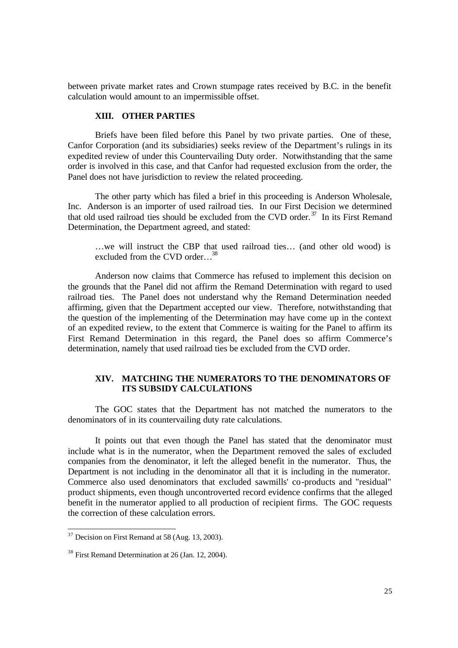between private market rates and Crown stumpage rates received by B.C. in the benefit calculation would amount to an impermissible offset.

## **XIII. OTHER PARTIES**

Briefs have been filed before this Panel by two private parties. One of these, Canfor Corporation (and its subsidiaries) seeks review of the Department's rulings in its expedited review of under this Countervailing Duty order. Notwithstanding that the same order is involved in this case, and that Canfor had requested exclusion from the order, the Panel does not have jurisdiction to review the related proceeding.

The other party which has filed a brief in this proceeding is Anderson Wholesale, Inc. Anderson is an importer of used railroad ties. In our First Decision we determined that old used railroad ties should be excluded from the CVD order.<sup> $37$ </sup> In its First Remand Determination, the Department agreed, and stated:

…we will instruct the CBP that used railroad ties… (and other old wood) is excluded from the CVD order...<sup>38</sup>

Anderson now claims that Commerce has refused to implement this decision on the grounds that the Panel did not affirm the Remand Determination with regard to used railroad ties. The Panel does not understand why the Remand Determination needed affirming, given that the Department accepted our view. Therefore, notwithstanding that the question of the implementing of the Determination may have come up in the context of an expedited review, to the extent that Commerce is waiting for the Panel to affirm its First Remand Determination in this regard, the Panel does so affirm Commerce's determination, namely that used railroad ties be excluded from the CVD order.

## **XIV. MATCHING THE NUMERATORS TO THE DENOMINATORS OF ITS SUBSIDY CALCULATIONS**

The GOC states that the Department has not matched the numerators to the denominators of in its countervailing duty rate calculations.

It points out that even though the Panel has stated that the denominator must include what is in the numerator, when the Department removed the sales of excluded companies from the denominator, it left the alleged benefit in the numerator. Thus, the Department is not including in the denominator all that it is including in the numerator. Commerce also used denominators that excluded sawmills' co-products and "residual" product shipments, even though uncontroverted record evidence confirms that the alleged benefit in the numerator applied to all production of recipient firms. The GOC requests the correction of these calculation errors.

 $37$  Decision on First Remand at 58 (Aug. 13, 2003).

<sup>38</sup> First Remand Determination at 26 (Jan. 12, 2004).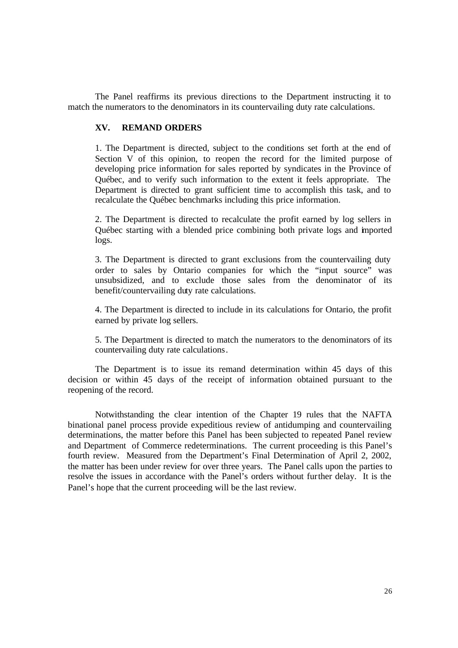The Panel reaffirms its previous directions to the Department instructing it to match the numerators to the denominators in its countervailing duty rate calculations.

#### **XV. REMAND ORDERS**

1. The Department is directed, subject to the conditions set forth at the end of Section V of this opinion, to reopen the record for the limited purpose of developing price information for sales reported by syndicates in the Province of Québec, and to verify such information to the extent it feels appropriate. The Department is directed to grant sufficient time to accomplish this task, and to recalculate the Québec benchmarks including this price information.

2. The Department is directed to recalculate the profit earned by log sellers in Québec starting with a blended price combining both private logs and imported logs.

3. The Department is directed to grant exclusions from the countervailing duty order to sales by Ontario companies for which the "input source" was unsubsidized, and to exclude those sales from the denominator of its benefit/countervailing duty rate calculations.

4. The Department is directed to include in its calculations for Ontario, the profit earned by private log sellers.

5. The Department is directed to match the numerators to the denominators of its countervailing duty rate calculations.

The Department is to issue its remand determination within 45 days of this decision or within 45 days of the receipt of information obtained pursuant to the reopening of the record.

Notwithstanding the clear intention of the Chapter 19 rules that the NAFTA binational panel process provide expeditious review of antidumping and countervailing determinations, the matter before this Panel has been subjected to repeated Panel review and Department of Commerce redeterminations. The current proceeding is this Panel's fourth review. Measured from the Department's Final Determination of April 2, 2002, the matter has been under review for over three years. The Panel calls upon the parties to resolve the issues in accordance with the Panel's orders without further delay. It is the Panel's hope that the current proceeding will be the last review.